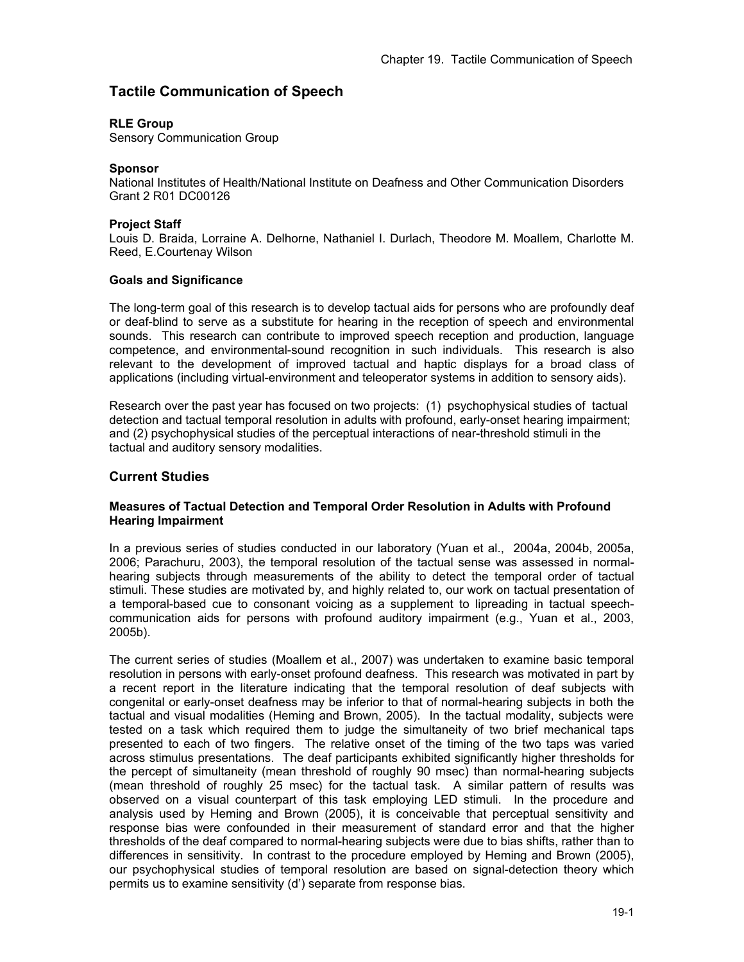# **Tactile Communication of Speech**

### **RLE Group**

Sensory Communication Group

### **Sponsor**

National Institutes of Health/National Institute on Deafness and Other Communication Disorders Grant 2 R01 DC00126

### **Project Staff**

Louis D. Braida, Lorraine A. Delhorne, Nathaniel I. Durlach, Theodore M. Moallem, Charlotte M. Reed, E.Courtenay Wilson

### **Goals and Significance**

The long-term goal of this research is to develop tactual aids for persons who are profoundly deaf or deaf-blind to serve as a substitute for hearing in the reception of speech and environmental sounds. This research can contribute to improved speech reception and production, language competence, and environmental-sound recognition in such individuals. This research is also relevant to the development of improved tactual and haptic displays for a broad class of applications (including virtual-environment and teleoperator systems in addition to sensory aids).

Research over the past year has focused on two projects: (1) psychophysical studies of tactual detection and tactual temporal resolution in adults with profound, early-onset hearing impairment; and (2) psychophysical studies of the perceptual interactions of near-threshold stimuli in the tactual and auditory sensory modalities.

### **Current Studies**

### **Measures of Tactual Detection and Temporal Order Resolution in Adults with Profound Hearing Impairment**

In a previous series of studies conducted in our laboratory (Yuan et al., 2004a, 2004b, 2005a, 2006; Parachuru, 2003), the temporal resolution of the tactual sense was assessed in normalhearing subjects through measurements of the ability to detect the temporal order of tactual stimuli. These studies are motivated by, and highly related to, our work on tactual presentation of a temporal-based cue to consonant voicing as a supplement to lipreading in tactual speechcommunication aids for persons with profound auditory impairment (e.g., Yuan et al., 2003, 2005b).

The current series of studies (Moallem et al., 2007) was undertaken to examine basic temporal resolution in persons with early-onset profound deafness. This research was motivated in part by a recent report in the literature indicating that the temporal resolution of deaf subjects with congenital or early-onset deafness may be inferior to that of normal-hearing subjects in both the tactual and visual modalities (Heming and Brown, 2005). In the tactual modality, subjects were tested on a task which required them to judge the simultaneity of two brief mechanical taps presented to each of two fingers. The relative onset of the timing of the two taps was varied across stimulus presentations. The deaf participants exhibited significantly higher thresholds for the percept of simultaneity (mean threshold of roughly 90 msec) than normal-hearing subjects (mean threshold of roughly 25 msec) for the tactual task. A similar pattern of results was observed on a visual counterpart of this task employing LED stimuli. In the procedure and analysis used by Heming and Brown (2005), it is conceivable that perceptual sensitivity and response bias were confounded in their measurement of standard error and that the higher thresholds of the deaf compared to normal-hearing subjects were due to bias shifts, rather than to differences in sensitivity. In contrast to the procedure employed by Heming and Brown (2005), our psychophysical studies of temporal resolution are based on signal-detection theory which permits us to examine sensitivity (d') separate from response bias.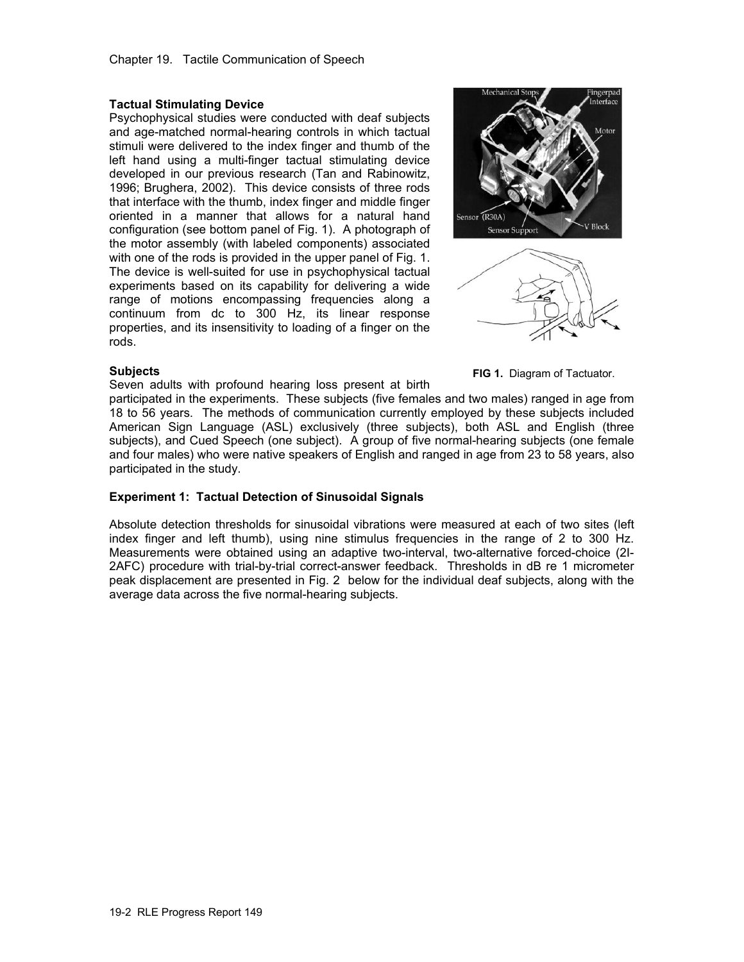### **Tactual Stimulating Device**

Psychophysical studies were conducted with deaf subjects and age-matched normal-hearing controls in which tactual stimuli were delivered to the index finger and thumb of the left hand using a multi-finger tactual stimulating device developed in our previous research (Tan and Rabinowitz, 1996; Brughera, 2002). This device consists of three rods that interface with the thumb, index finger and middle finger oriented in a manner that allows for a natural hand configuration (see bottom panel of Fig. 1). A photograph of the motor assembly (with labeled components) associated with one of the rods is provided in the upper panel of Fig. 1. The device is well-suited for use in psychophysical tactual experiments based on its capability for delivering a wide range of motions encompassing frequencies along a continuum from dc to 300 Hz, its linear response properties, and its insensitivity to loading of a finger on the rods.





### **Subjects**

Seven adults with profound hearing loss present at birth

**FIG 1.** Diagram of Tactuator.

participated in the experiments. These subjects (five females and two males) ranged in age from 18 to 56 years. The methods of communication currently employed by these subjects included American Sign Language (ASL) exclusively (three subjects), both ASL and English (three subjects), and Cued Speech (one subject). A group of five normal-hearing subjects (one female and four males) who were native speakers of English and ranged in age from 23 to 58 years, also participated in the study.

### **Experiment 1: Tactual Detection of Sinusoidal Signals**

Absolute detection thresholds for sinusoidal vibrations were measured at each of two sites (left index finger and left thumb), using nine stimulus frequencies in the range of 2 to 300 Hz. Measurements were obtained using an adaptive two-interval, two-alternative forced-choice (2I-2AFC) procedure with trial-by-trial correct-answer feedback. Thresholds in dB re 1 micrometer peak displacement are presented in Fig. 2 below for the individual deaf subjects, along with the average data across the five normal-hearing subjects.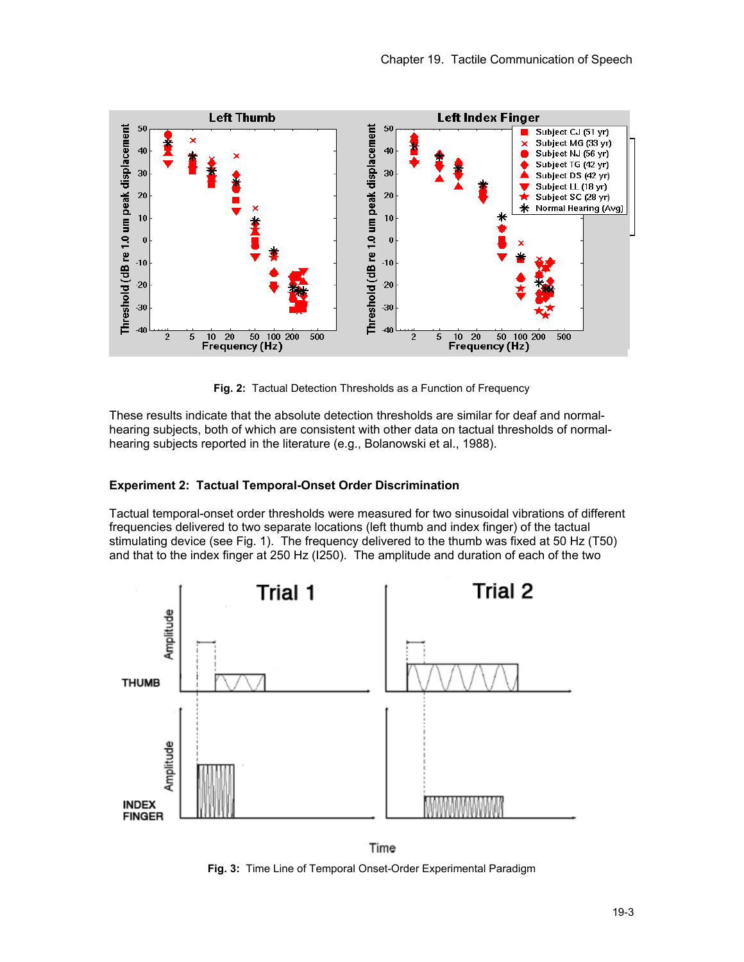

**Fig. 2:** Tactual Detection Thresholds as a Function of Frequency

These results indicate that the absolute detection thresholds are similar for deaf and normalhearing subjects, both of which are consistent with other data on tactual thresholds of normalhearing subjects reported in the literature (e.g., Bolanowski et al., 1988).

### **Experiment 2: Tactual Temporal-Onset Order Discrimination**

Tactual temporal-onset order thresholds were measured for two sinusoidal vibrations of different frequencies delivered to two separate locations (left thumb and index finger) of the tactual stimulating device (see Fig. 1). The frequency delivered to the thumb was fixed at 50 Hz (T50) and that to the index finger at 250 Hz (I250). The amplitude and duration of each of the two



Time **Fig. 3:** Time Line of Temporal Onset-Order Experimental Paradigm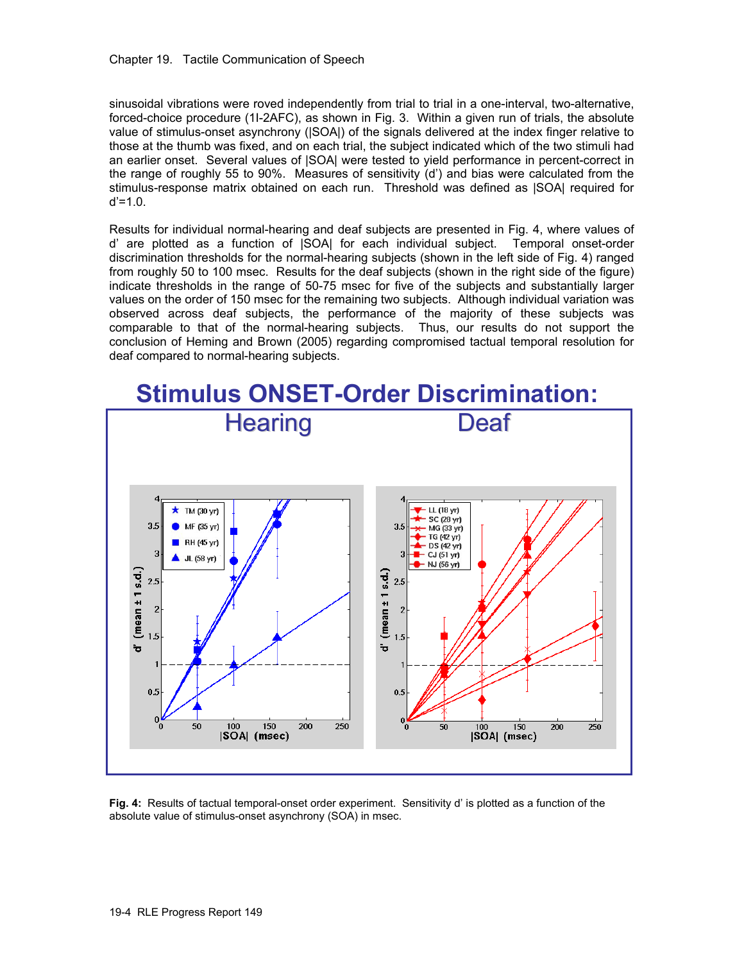sinusoidal vibrations were roved independently from trial to trial in a one-interval, two-alternative, forced-choice procedure (1I-2AFC), as shown in Fig. 3. Within a given run of trials, the absolute value of stimulus-onset asynchrony (|SOA|) of the signals delivered at the index finger relative to those at the thumb was fixed, and on each trial, the subject indicated which of the two stimuli had an earlier onset. Several values of |SOA| were tested to yield performance in percent-correct in the range of roughly 55 to 90%. Measures of sensitivity (d') and bias were calculated from the stimulus-response matrix obtained on each run. Threshold was defined as |SOA| required for  $d' = 1.0$ .

Results for individual normal-hearing and deaf subjects are presented in Fig. 4, where values of d' are plotted as a function of |SOA| for each individual subject. Temporal onset-order discrimination thresholds for the normal-hearing subjects (shown in the left side of Fig. 4) ranged from roughly 50 to 100 msec. Results for the deaf subjects (shown in the right side of the figure) indicate thresholds in the range of 50-75 msec for five of the subjects and substantially larger values on the order of 150 msec for the remaining two subjects. Although individual variation was observed across deaf subjects, the performance of the majority of these subjects was comparable to that of the normal-hearing subjects. Thus, our results do not support the conclusion of Heming and Brown (2005) regarding compromised tactual temporal resolution for deaf compared to normal-hearing subjects.



**Fig. 4:** Results of tactual temporal-onset order experiment. Sensitivity d' is plotted as a function of the absolute value of stimulus-onset asynchrony (SOA) in msec.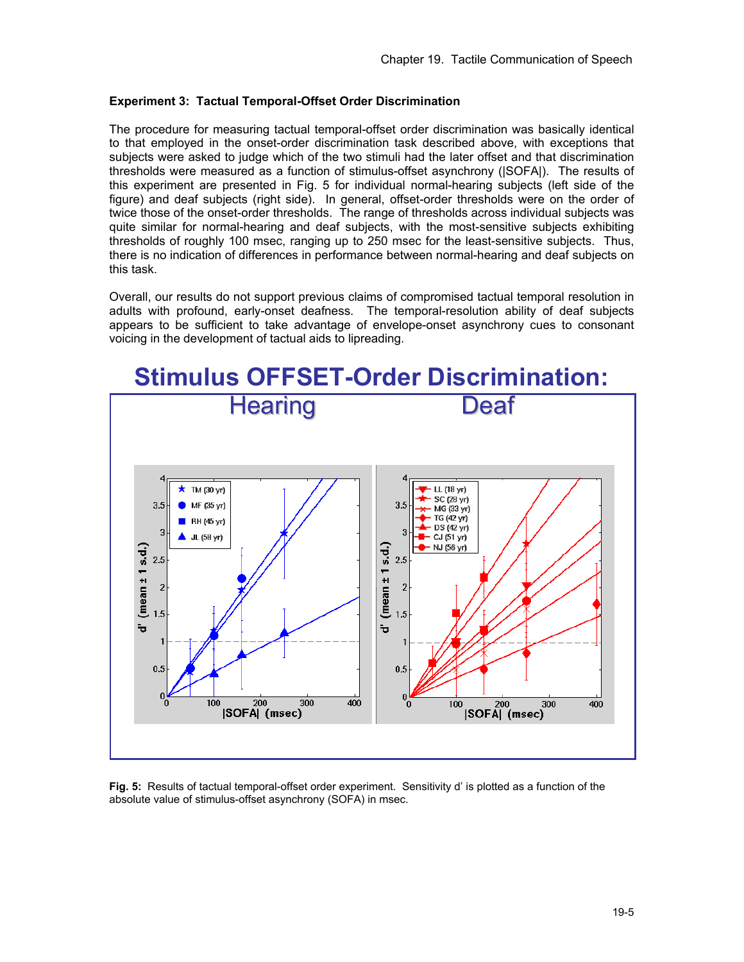### **Experiment 3: Tactual Temporal-Offset Order Discrimination**

The procedure for measuring tactual temporal-offset order discrimination was basically identical to that employed in the onset-order discrimination task described above, with exceptions that subjects were asked to judge which of the two stimuli had the later offset and that discrimination thresholds were measured as a function of stimulus-offset asynchrony (|SOFA|). The results of this experiment are presented in Fig. 5 for individual normal-hearing subjects (left side of the figure) and deaf subjects (right side). In general, offset-order thresholds were on the order of twice those of the onset-order thresholds. The range of thresholds across individual subjects was quite similar for normal-hearing and deaf subjects, with the most-sensitive subjects exhibiting thresholds of roughly 100 msec, ranging up to 250 msec for the least-sensitive subjects. Thus, there is no indication of differences in performance between normal-hearing and deaf subjects on this task.

Overall, our results do not support previous claims of compromised tactual temporal resolution in adults with profound, early-onset deafness. The temporal-resolution ability of deaf subjects appears to be sufficient to take advantage of envelope-onset asynchrony cues to consonant voicing in the development of tactual aids to lipreading.



**Fig. 5:** Results of tactual temporal-offset order experiment. Sensitivity d' is plotted as a function of the absolute value of stimulus-offset asynchrony (SOFA) in msec.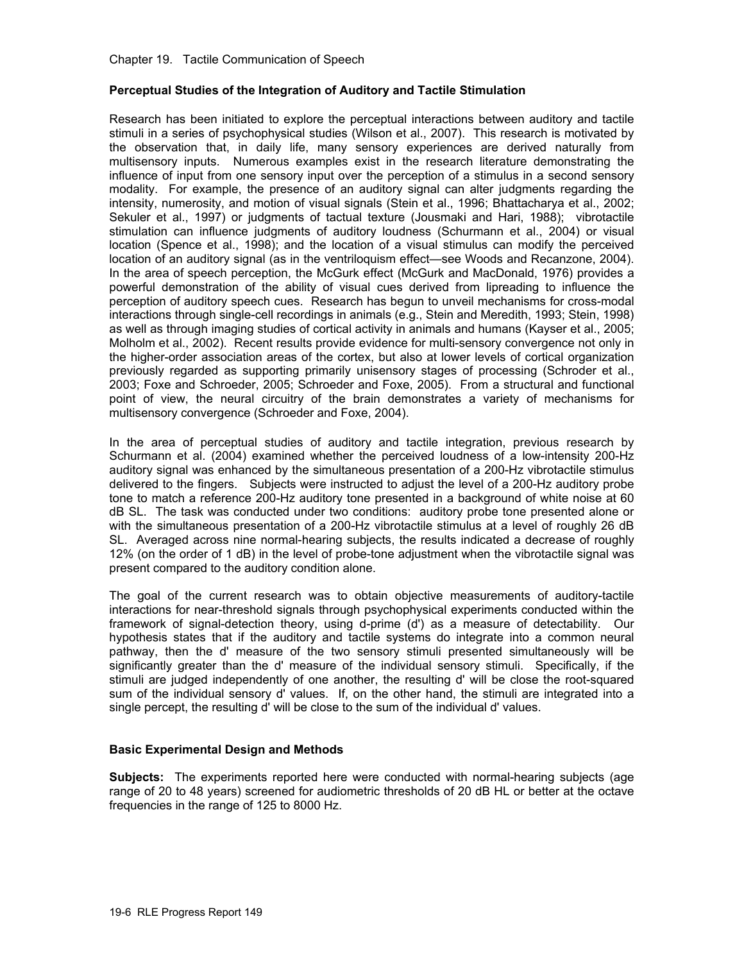Chapter 19. Tactile Communication of Speech

### **Perceptual Studies of the Integration of Auditory and Tactile Stimulation**

Research has been initiated to explore the perceptual interactions between auditory and tactile stimuli in a series of psychophysical studies (Wilson et al., 2007). This research is motivated by the observation that, in daily life, many sensory experiences are derived naturally from multisensory inputs. Numerous examples exist in the research literature demonstrating the influence of input from one sensory input over the perception of a stimulus in a second sensory modality. For example, the presence of an auditory signal can alter judgments regarding the intensity, numerosity, and motion of visual signals (Stein et al., 1996; Bhattacharya et al., 2002; Sekuler et al., 1997) or judgments of tactual texture (Jousmaki and Hari, 1988); vibrotactile stimulation can influence judgments of auditory loudness (Schurmann et al., 2004) or visual location (Spence et al., 1998); and the location of a visual stimulus can modify the perceived location of an auditory signal (as in the ventriloquism effect—see Woods and Recanzone, 2004). In the area of speech perception, the McGurk effect (McGurk and MacDonald, 1976) provides a powerful demonstration of the ability of visual cues derived from lipreading to influence the perception of auditory speech cues. Research has begun to unveil mechanisms for cross-modal interactions through single-cell recordings in animals (e.g., Stein and Meredith, 1993; Stein, 1998) as well as through imaging studies of cortical activity in animals and humans (Kayser et al., 2005; Molholm et al., 2002). Recent results provide evidence for multi-sensory convergence not only in the higher-order association areas of the cortex, but also at lower levels of cortical organization previously regarded as supporting primarily unisensory stages of processing (Schroder et al., 2003; Foxe and Schroeder, 2005; Schroeder and Foxe, 2005). From a structural and functional point of view, the neural circuitry of the brain demonstrates a variety of mechanisms for multisensory convergence (Schroeder and Foxe, 2004).

In the area of perceptual studies of auditory and tactile integration, previous research by Schurmann et al. (2004) examined whether the perceived loudness of a low-intensity 200-Hz auditory signal was enhanced by the simultaneous presentation of a 200-Hz vibrotactile stimulus delivered to the fingers. Subjects were instructed to adjust the level of a 200-Hz auditory probe tone to match a reference 200-Hz auditory tone presented in a background of white noise at 60 dB SL. The task was conducted under two conditions: auditory probe tone presented alone or with the simultaneous presentation of a 200-Hz vibrotactile stimulus at a level of roughly 26 dB SL. Averaged across nine normal-hearing subjects, the results indicated a decrease of roughly 12% (on the order of 1 dB) in the level of probe-tone adjustment when the vibrotactile signal was present compared to the auditory condition alone.

The goal of the current research was to obtain objective measurements of auditory-tactile interactions for near-threshold signals through psychophysical experiments conducted within the framework of signal-detection theory, using d-prime (d') as a measure of detectability. Our hypothesis states that if the auditory and tactile systems do integrate into a common neural pathway, then the d' measure of the two sensory stimuli presented simultaneously will be significantly greater than the d' measure of the individual sensory stimuli. Specifically, if the stimuli are judged independently of one another, the resulting d' will be close the root-squared sum of the individual sensory d' values. If, on the other hand, the stimuli are integrated into a single percept, the resulting d' will be close to the sum of the individual d' values.

### **Basic Experimental Design and Methods**

**Subjects:** The experiments reported here were conducted with normal-hearing subjects (age range of 20 to 48 years) screened for audiometric thresholds of 20 dB HL or better at the octave frequencies in the range of 125 to 8000 Hz.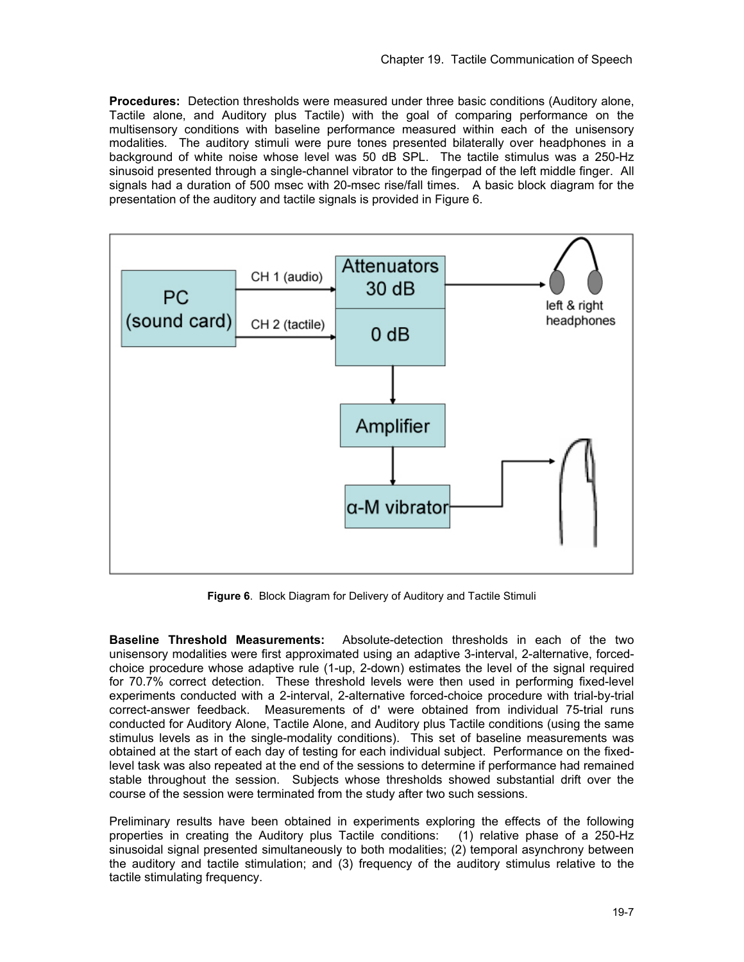**Procedures:** Detection thresholds were measured under three basic conditions (Auditory alone, Tactile alone, and Auditory plus Tactile) with the goal of comparing performance on the multisensory conditions with baseline performance measured within each of the unisensory modalities. The auditory stimuli were pure tones presented bilaterally over headphones in a background of white noise whose level was 50 dB SPL. The tactile stimulus was a 250-Hz sinusoid presented through a single-channel vibrator to the fingerpad of the left middle finger. All signals had a duration of 500 msec with 20-msec rise/fall times. A basic block diagram for the presentation of the auditory and tactile signals is provided in Figure 6.



**Figure 6**. Block Diagram for Delivery of Auditory and Tactile Stimuli

**Baseline Threshold Measurements:** Absolute-detection thresholds in each of the two unisensory modalities were first approximated using an adaptive 3-interval, 2-alternative, forcedchoice procedure whose adaptive rule (1-up, 2-down) estimates the level of the signal required for 70.7% correct detection. These threshold levels were then used in performing fixed-level experiments conducted with a 2-interval, 2-alternative forced-choice procedure with trial-by-trial correct-answer feedback. Measurements of d**'** were obtained from individual 75-trial runs conducted for Auditory Alone, Tactile Alone, and Auditory plus Tactile conditions (using the same stimulus levels as in the single-modality conditions). This set of baseline measurements was obtained at the start of each day of testing for each individual subject. Performance on the fixedlevel task was also repeated at the end of the sessions to determine if performance had remained stable throughout the session. Subjects whose thresholds showed substantial drift over the course of the session were terminated from the study after two such sessions.

Preliminary results have been obtained in experiments exploring the effects of the following properties in creating the Auditory plus Tactile conditions: (1) relative phase of a 250-Hz sinusoidal signal presented simultaneously to both modalities; (2) temporal asynchrony between the auditory and tactile stimulation; and (3) frequency of the auditory stimulus relative to the tactile stimulating frequency.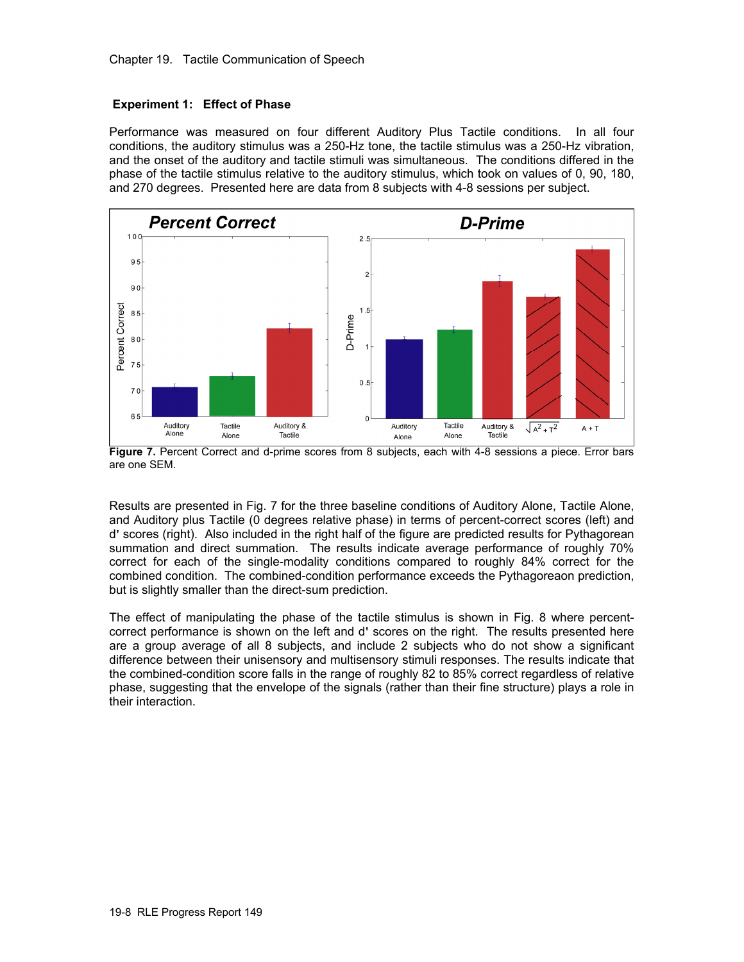### **Experiment 1: Effect of Phase**

Performance was measured on four different Auditory Plus Tactile conditions. In all four conditions, the auditory stimulus was a 250-Hz tone, the tactile stimulus was a 250-Hz vibration, and the onset of the auditory and tactile stimuli was simultaneous. The conditions differed in the phase of the tactile stimulus relative to the auditory stimulus, which took on values of 0, 90, 180, and 270 degrees. Presented here are data from 8 subjects with 4-8 sessions per subject.



Figure 7. Percent Correct and d-prime scores from 8 subjects, each with 4-8 sessions a piece. Error bars are one SEM.

Results are presented in Fig. 7 for the three baseline conditions of Auditory Alone, Tactile Alone, and Auditory plus Tactile (0 degrees relative phase) in terms of percent-correct scores (left) and d**'** scores (right). Also included in the right half of the figure are predicted results for Pythagorean summation and direct summation. The results indicate average performance of roughly 70% correct for each of the single-modality conditions compared to roughly 84% correct for the combined condition. The combined-condition performance exceeds the Pythagoreaon prediction, but is slightly smaller than the direct-sum prediction.

The effect of manipulating the phase of the tactile stimulus is shown in Fig. 8 where percentcorrect performance is shown on the left and d**'** scores on the right. The results presented here are a group average of all 8 subjects, and include 2 subjects who do not show a significant difference between their unisensory and multisensory stimuli responses. The results indicate that the combined-condition score falls in the range of roughly 82 to 85% correct regardless of relative phase, suggesting that the envelope of the signals (rather than their fine structure) plays a role in their interaction.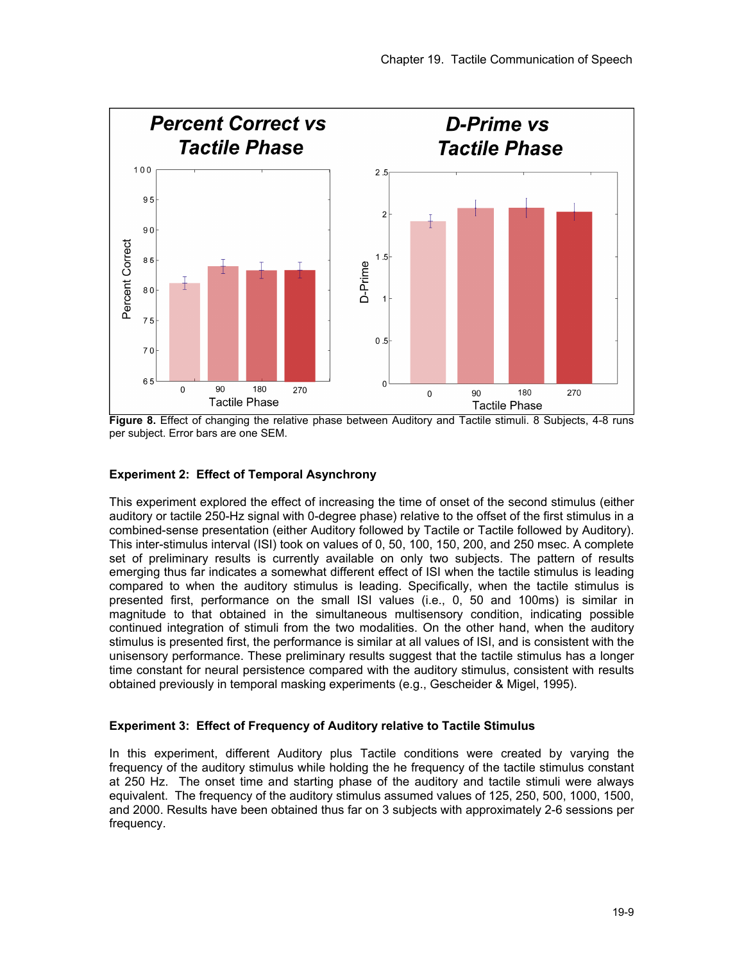

**Figure 8.** Effect of changing the relative phase between Auditory and Tactile stimuli. 8 Subjects, 4-8 runs per subject. Error bars are one SEM.

# **Experiment 2: Effect of Temporal Asynchrony**

This experiment explored the effect of increasing the time of onset of the second stimulus (either auditory or tactile 250-Hz signal with 0-degree phase) relative to the offset of the first stimulus in a combined-sense presentation (either Auditory followed by Tactile or Tactile followed by Auditory). This inter-stimulus interval (ISI) took on values of 0, 50, 100, 150, 200, and 250 msec. A complete set of preliminary results is currently available on only two subjects. The pattern of results emerging thus far indicates a somewhat different effect of ISI when the tactile stimulus is leading compared to when the auditory stimulus is leading. Specifically, when the tactile stimulus is presented first, performance on the small ISI values (i.e., 0, 50 and 100ms) is similar in magnitude to that obtained in the simultaneous multisensory condition, indicating possible continued integration of stimuli from the two modalities. On the other hand, when the auditory stimulus is presented first, the performance is similar at all values of ISI, and is consistent with the unisensory performance. These preliminary results suggest that the tactile stimulus has a longer time constant for neural persistence compared with the auditory stimulus, consistent with results obtained previously in temporal masking experiments (e.g., Gescheider & Migel, 1995).

### **Experiment 3: Effect of Frequency of Auditory relative to Tactile Stimulus**

In this experiment, different Auditory plus Tactile conditions were created by varying the frequency of the auditory stimulus while holding the he frequency of the tactile stimulus constant at 250 Hz. The onset time and starting phase of the auditory and tactile stimuli were always equivalent. The frequency of the auditory stimulus assumed values of 125, 250, 500, 1000, 1500, and 2000. Results have been obtained thus far on 3 subjects with approximately 2-6 sessions per frequency.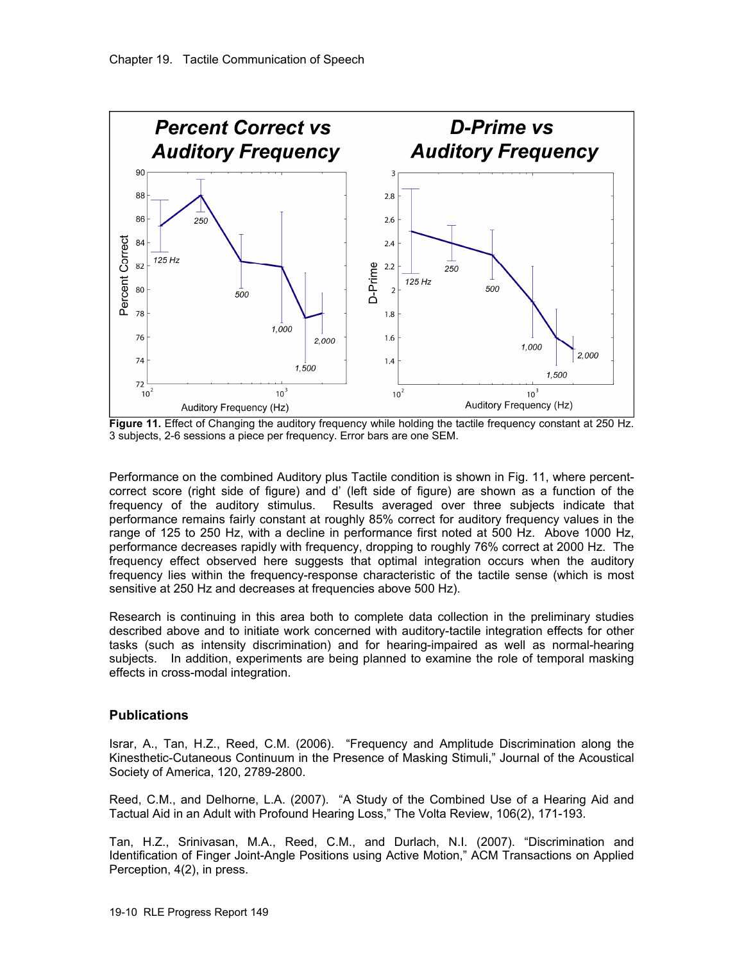

**Figure 11.** Effect of Changing the auditory frequency while holding the tactile frequency constant at 250 Hz. 3 subjects, 2-6 sessions a piece per frequency. Error bars are one SEM.

Performance on the combined Auditory plus Tactile condition is shown in Fig. 11, where percentcorrect score (right side of figure) and d' (left side of figure) are shown as a function of the frequency of the auditory stimulus. Results averaged over three subjects indicate that performance remains fairly constant at roughly 85% correct for auditory frequency values in the range of 125 to 250 Hz, with a decline in performance first noted at 500 Hz. Above 1000 Hz, performance decreases rapidly with frequency, dropping to roughly 76% correct at 2000 Hz. The frequency effect observed here suggests that optimal integration occurs when the auditory frequency lies within the frequency-response characteristic of the tactile sense (which is most sensitive at 250 Hz and decreases at frequencies above 500 Hz).

Research is continuing in this area both to complete data collection in the preliminary studies described above and to initiate work concerned with auditory-tactile integration effects for other tasks (such as intensity discrimination) and for hearing-impaired as well as normal-hearing subjects. In addition, experiments are being planned to examine the role of temporal masking effects in cross-modal integration.

# **Publications**

Israr, A., Tan, H.Z., Reed, C.M. (2006). "Frequency and Amplitude Discrimination along the Kinesthetic-Cutaneous Continuum in the Presence of Masking Stimuli," Journal of the Acoustical Society of America, 120, 2789-2800.

Reed, C.M., and Delhorne, L.A. (2007). "A Study of the Combined Use of a Hearing Aid and Tactual Aid in an Adult with Profound Hearing Loss," The Volta Review, 106(2), 171-193.

Tan, H.Z., Srinivasan, M.A., Reed, C.M., and Durlach, N.I. (2007). "Discrimination and Identification of Finger Joint-Angle Positions using Active Motion," ACM Transactions on Applied Perception, 4(2), in press.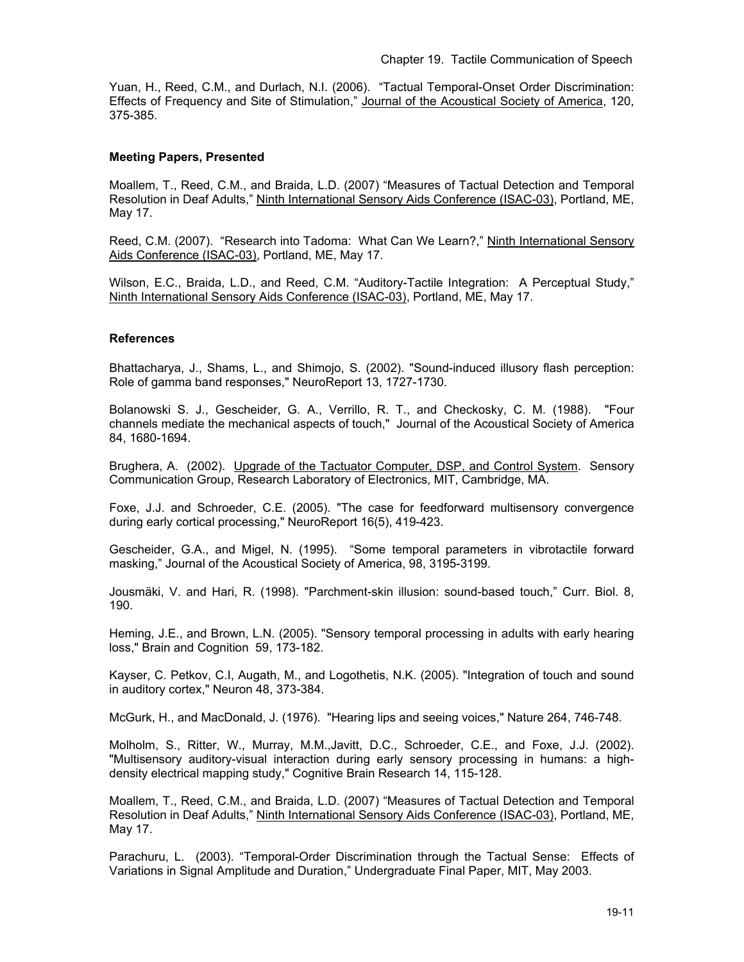Yuan, H., Reed, C.M., and Durlach, N.I. (2006). "Tactual Temporal-Onset Order Discrimination: Effects of Frequency and Site of Stimulation," Journal of the Acoustical Society of America, 120, 375-385.

### **Meeting Papers, Presented**

Moallem, T., Reed, C.M., and Braida, L.D. (2007) "Measures of Tactual Detection and Temporal Resolution in Deaf Adults," Ninth International Sensory Aids Conference (ISAC-03), Portland, ME, May 17.

Reed, C.M. (2007). "Research into Tadoma: What Can We Learn?," Ninth International Sensory Aids Conference (ISAC-03), Portland, ME, May 17.

Wilson, E.C., Braida, L.D., and Reed, C.M. "Auditory-Tactile Integration: A Perceptual Study," Ninth International Sensory Aids Conference (ISAC-03), Portland, ME, May 17.

### **References**

Bhattacharya, J., Shams, L., and Shimojo, S. (2002). "Sound-induced illusory flash perception: Role of gamma band responses," NeuroReport 13, 1727-1730.

Bolanowski S. J., Gescheider, G. A., Verrillo, R. T., and Checkosky, C. M. (1988). "Four channels mediate the mechanical aspects of touch," Journal of the Acoustical Society of America 84, 1680-1694.

Brughera, A. (2002). Upgrade of the Tactuator Computer, DSP, and Control System. Sensory Communication Group, Research Laboratory of Electronics, MIT, Cambridge, MA.

Foxe, J.J. and Schroeder, C.E. (2005). "The case for feedforward multisensory convergence during early cortical processing," NeuroReport 16(5), 419-423.

Gescheider, G.A., and Migel, N. (1995). "Some temporal parameters in vibrotactile forward masking," Journal of the Acoustical Society of America, 98, 3195-3199.

Jousmäki, V. and Hari, R. (1998). "Parchment-skin illusion: sound-based touch," Curr. Biol. 8, 190.

Heming, J.E., and Brown, L.N. (2005). "Sensory temporal processing in adults with early hearing loss," Brain and Cognition 59, 173-182.

Kayser, C. Petkov, C.I, Augath, M., and Logothetis, N.K. (2005). "Integration of touch and sound in auditory cortex," Neuron 48, 373-384.

McGurk, H., and MacDonald, J. (1976). "Hearing lips and seeing voices," Nature 264, 746-748.

Molholm, S., Ritter, W., Murray, M.M.,Javitt, D.C., Schroeder, C.E., and Foxe, J.J. (2002). "Multisensory auditory-visual interaction during early sensory processing in humans: a highdensity electrical mapping study," Cognitive Brain Research 14, 115-128.

Moallem, T., Reed, C.M., and Braida, L.D. (2007) "Measures of Tactual Detection and Temporal Resolution in Deaf Adults," Ninth International Sensory Aids Conference (ISAC-03), Portland, ME, May 17.

Parachuru, L. (2003). "Temporal-Order Discrimination through the Tactual Sense: Effects of Variations in Signal Amplitude and Duration," Undergraduate Final Paper, MIT, May 2003.